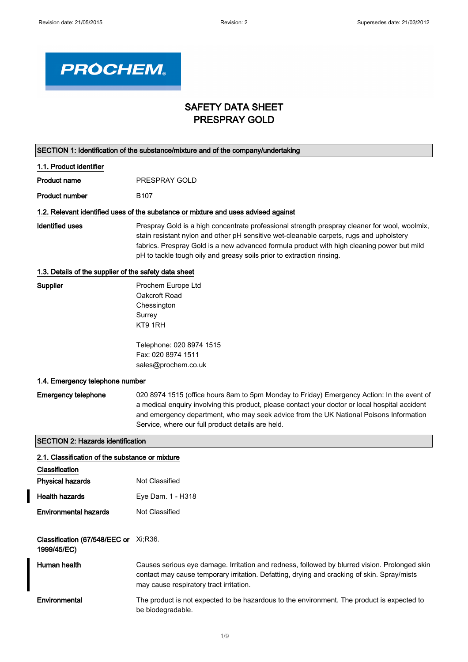$\overline{\mathbf{I}}$ 



## SAFETY DATA SHEET PRESPRAY GOLD

| SECTION 1: Identification of the substance/mixture and of the company/undertaking |                                                                                                                                                                                                                                                                                                                                                                 |  |
|-----------------------------------------------------------------------------------|-----------------------------------------------------------------------------------------------------------------------------------------------------------------------------------------------------------------------------------------------------------------------------------------------------------------------------------------------------------------|--|
| 1.1. Product identifier                                                           |                                                                                                                                                                                                                                                                                                                                                                 |  |
| <b>Product name</b>                                                               | PRESPRAY GOLD                                                                                                                                                                                                                                                                                                                                                   |  |
| <b>Product number</b>                                                             | B <sub>107</sub>                                                                                                                                                                                                                                                                                                                                                |  |
|                                                                                   | 1.2. Relevant identified uses of the substance or mixture and uses advised against                                                                                                                                                                                                                                                                              |  |
| <b>Identified uses</b>                                                            | Prespray Gold is a high concentrate professional strength prespray cleaner for wool, woolmix,<br>stain resistant nylon and other pH sensitive wet-cleanable carpets, rugs and upholstery<br>fabrics. Prespray Gold is a new advanced formula product with high cleaning power but mild<br>pH to tackle tough oily and greasy soils prior to extraction rinsing. |  |
| 1.3. Details of the supplier of the safety data sheet                             |                                                                                                                                                                                                                                                                                                                                                                 |  |
| Supplier                                                                          | Prochem Europe Ltd<br>Oakcroft Road<br>Chessington<br>Surrey<br>KT9 1RH                                                                                                                                                                                                                                                                                         |  |
|                                                                                   | Telephone: 020 8974 1515<br>Fax: 020 8974 1511<br>sales@prochem.co.uk                                                                                                                                                                                                                                                                                           |  |
| 1.4. Emergency telephone number                                                   |                                                                                                                                                                                                                                                                                                                                                                 |  |
| <b>Emergency telephone</b>                                                        | 020 8974 1515 (office hours 8am to 5pm Monday to Friday) Emergency Action: In the event of<br>a medical enquiry involving this product, please contact your doctor or local hospital accident<br>and emergency department, who may seek advice from the UK National Poisons Information<br>Service, where our full product details are held.                    |  |
| <b>SECTION 2: Hazards identification</b>                                          |                                                                                                                                                                                                                                                                                                                                                                 |  |
| 2.1. Classification of the substance or mixture<br>Classification                 |                                                                                                                                                                                                                                                                                                                                                                 |  |
| <b>Physical hazards</b>                                                           | <b>Not Classified</b>                                                                                                                                                                                                                                                                                                                                           |  |
| <b>Health hazards</b>                                                             | Eye Dam. 1 - H318                                                                                                                                                                                                                                                                                                                                               |  |
| <b>Environmental hazards</b>                                                      | <b>Not Classified</b>                                                                                                                                                                                                                                                                                                                                           |  |
| Classification (67/548/EEC or Xi;R36.<br>1999/45/EC)                              |                                                                                                                                                                                                                                                                                                                                                                 |  |
| Human health                                                                      | Causes serious eye damage. Irritation and redness, followed by blurred vision. Prolonged skin<br>contact may cause temporary irritation. Defatting, drying and cracking of skin. Spray/mists<br>may cause respiratory tract irritation.                                                                                                                         |  |
| Environmental                                                                     | The product is not expected to be hazardous to the environment. The product is expected to<br>be biodegradable.                                                                                                                                                                                                                                                 |  |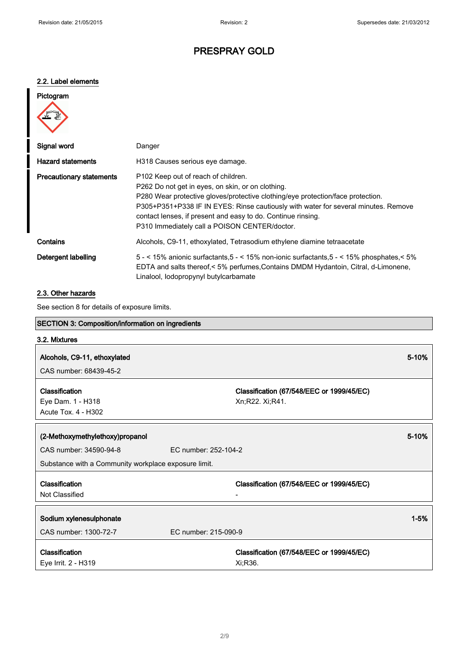#### 2.2. Label elements

# Pictogram Signal word **Danger** Danger

| Signal word                     | Danger                                                                                                                                                                                                                                                                                                                                                                                         |
|---------------------------------|------------------------------------------------------------------------------------------------------------------------------------------------------------------------------------------------------------------------------------------------------------------------------------------------------------------------------------------------------------------------------------------------|
| <b>Hazard statements</b>        | H318 Causes serious eye damage.                                                                                                                                                                                                                                                                                                                                                                |
| <b>Precautionary statements</b> | P <sub>102</sub> Keep out of reach of children.<br>P262 Do not get in eyes, on skin, or on clothing.<br>P280 Wear protective gloves/protective clothing/eye protection/face protection.<br>P305+P351+P338 IF IN EYES: Rinse cautiously with water for several minutes. Remove<br>contact lenses, if present and easy to do. Continue rinsing.<br>P310 Immediately call a POISON CENTER/doctor. |
| Contains                        | Alcohols, C9-11, ethoxylated, Tetrasodium ethylene diamine tetraacetate                                                                                                                                                                                                                                                                                                                        |
| Detergent labelling             | 5 - < 15% anionic surfactants, $5 - 5$ - < 15% non-ionic surfactants, $5 - 5$ - < 15% phosphates, $5\%$<br>EDTA and salts thereof, < 5% perfumes, Contains DMDM Hydantoin, Citral, d-Limonene,<br>Linalool, lodopropynyl butylcarbamate                                                                                                                                                        |

#### 2.3. Other hazards

See section 8 for details of exposure limits.

| <b>SECTION 3: Composition/information on ingredients</b> |                                           |          |
|----------------------------------------------------------|-------------------------------------------|----------|
| 3.2. Mixtures                                            |                                           |          |
| Alcohols, C9-11, ethoxylated                             |                                           | 5-10%    |
|                                                          |                                           |          |
| CAS number: 68439-45-2                                   |                                           |          |
| Classification                                           | Classification (67/548/EEC or 1999/45/EC) |          |
| Eye Dam. 1 - H318                                        | Xn;R22. Xi;R41.                           |          |
| Acute Tox. 4 - H302                                      |                                           |          |
|                                                          |                                           |          |
|                                                          |                                           |          |
| (2-Methoxymethylethoxy)propanol                          |                                           | 5-10%    |
| CAS number: 34590-94-8                                   | EC number: 252-104-2                      |          |
| Substance with a Community workplace exposure limit.     |                                           |          |
|                                                          |                                           |          |
| Classification                                           | Classification (67/548/EEC or 1999/45/EC) |          |
| Not Classified                                           |                                           |          |
|                                                          |                                           |          |
| Sodium xylenesulphonate                                  |                                           | $1 - 5%$ |
| CAS number: 1300-72-7                                    | EC number: 215-090-9                      |          |
| Classification                                           | Classification (67/548/EEC or 1999/45/EC) |          |
| Eye Irrit. 2 - H319                                      | Xi:R36.                                   |          |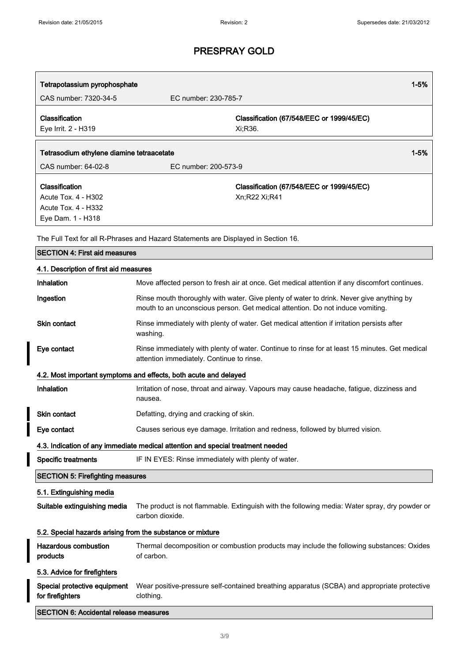| Tetrapotassium pyrophosphate                                        |                                                                                    | $1 - 5%$ |
|---------------------------------------------------------------------|------------------------------------------------------------------------------------|----------|
| CAS number: 7320-34-5                                               | EC number: 230-785-7                                                               |          |
| <b>Classification</b><br>Eye Irrit. 2 - H319                        | Classification (67/548/EEC or 1999/45/EC)<br>Xi:R36.                               |          |
| Tetrasodium ethylene diamine tetraacetate                           |                                                                                    | $1 - 5%$ |
| CAS number: 64-02-8                                                 | EC number: 200-573-9                                                               |          |
| Classification<br>Acute Tox. 4 - H302<br><b>Acute Tox. 4 - H332</b> | Classification (67/548/EEC or 1999/45/EC)<br>Xn:R22 Xi:R41                         |          |
| Eye Dam. 1 - H318                                                   | The Full Text for all R-Phrases and Hazard Statements are Displayed in Section 16. |          |

| <b>SECTION 4: First aid measures</b>                                            |                                                                                                                                                                            |  |
|---------------------------------------------------------------------------------|----------------------------------------------------------------------------------------------------------------------------------------------------------------------------|--|
| 4.1. Description of first aid measures                                          |                                                                                                                                                                            |  |
| Inhalation                                                                      | Move affected person to fresh air at once. Get medical attention if any discomfort continues.                                                                              |  |
| Ingestion                                                                       | Rinse mouth thoroughly with water. Give plenty of water to drink. Never give anything by<br>mouth to an unconscious person. Get medical attention. Do not induce vomiting. |  |
| Skin contact                                                                    | Rinse immediately with plenty of water. Get medical attention if irritation persists after<br>washing.                                                                     |  |
| Eye contact                                                                     | Rinse immediately with plenty of water. Continue to rinse for at least 15 minutes. Get medical<br>attention immediately. Continue to rinse.                                |  |
|                                                                                 | 4.2. Most important symptoms and effects, both acute and delayed                                                                                                           |  |
| Inhalation                                                                      | Irritation of nose, throat and airway. Vapours may cause headache, fatigue, dizziness and<br>nausea.                                                                       |  |
| <b>Skin contact</b>                                                             | Defatting, drying and cracking of skin.                                                                                                                                    |  |
| Eye contact                                                                     | Causes serious eye damage. Irritation and redness, followed by blurred vision.                                                                                             |  |
| 4.3. Indication of any immediate medical attention and special treatment needed |                                                                                                                                                                            |  |
| <b>Specific treatments</b>                                                      | IF IN EYES: Rinse immediately with plenty of water.                                                                                                                        |  |
| <b>SECTION 5: Firefighting measures</b>                                         |                                                                                                                                                                            |  |
| 5.1. Extinguishing media                                                        |                                                                                                                                                                            |  |
| Suitable extinguishing media                                                    | The product is not flammable. Extinguish with the following media: Water spray, dry powder or<br>carbon dioxide.                                                           |  |
| 5.2. Special hazards arising from the substance or mixture                      |                                                                                                                                                                            |  |
| <b>Hazardous combustion</b><br>products                                         | Thermal decomposition or combustion products may include the following substances: Oxides<br>of carbon.                                                                    |  |
| 5.3. Advice for firefighters                                                    |                                                                                                                                                                            |  |
| Special protective equipment<br>for firefighters                                | Wear positive-pressure self-contained breathing apparatus (SCBA) and appropriate protective<br>clothing.                                                                   |  |
| <b>SECTION 6: Accidental release measures</b>                                   |                                                                                                                                                                            |  |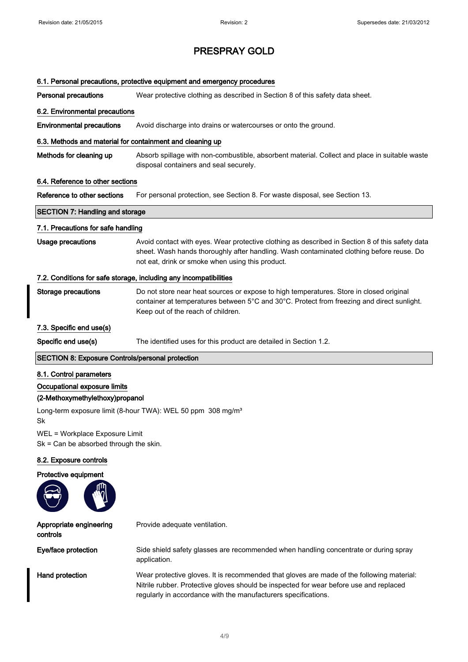| 6.1. Personal precautions, protective equipment and emergency procedures                                                                                              |                                                                                                                                                                                                                                                 |  |
|-----------------------------------------------------------------------------------------------------------------------------------------------------------------------|-------------------------------------------------------------------------------------------------------------------------------------------------------------------------------------------------------------------------------------------------|--|
| <b>Personal precautions</b>                                                                                                                                           | Wear protective clothing as described in Section 8 of this safety data sheet.                                                                                                                                                                   |  |
| 6.2. Environmental precautions                                                                                                                                        |                                                                                                                                                                                                                                                 |  |
| <b>Environmental precautions</b>                                                                                                                                      | Avoid discharge into drains or watercourses or onto the ground.                                                                                                                                                                                 |  |
| 6.3. Methods and material for containment and cleaning up                                                                                                             |                                                                                                                                                                                                                                                 |  |
| Methods for cleaning up                                                                                                                                               | Absorb spillage with non-combustible, absorbent material. Collect and place in suitable waste<br>disposal containers and seal securely.                                                                                                         |  |
| 6.4. Reference to other sections                                                                                                                                      |                                                                                                                                                                                                                                                 |  |
| Reference to other sections                                                                                                                                           | For personal protection, see Section 8. For waste disposal, see Section 13.                                                                                                                                                                     |  |
| <b>SECTION 7: Handling and storage</b>                                                                                                                                |                                                                                                                                                                                                                                                 |  |
| 7.1. Precautions for safe handling                                                                                                                                    |                                                                                                                                                                                                                                                 |  |
| <b>Usage precautions</b>                                                                                                                                              | Avoid contact with eyes. Wear protective clothing as described in Section 8 of this safety data<br>sheet. Wash hands thoroughly after handling. Wash contaminated clothing before reuse. Do<br>not eat, drink or smoke when using this product. |  |
|                                                                                                                                                                       | 7.2. Conditions for safe storage, including any incompatibilities                                                                                                                                                                               |  |
| <b>Storage precautions</b>                                                                                                                                            | Do not store near heat sources or expose to high temperatures. Store in closed original<br>container at temperatures between 5°C and 30°C. Protect from freezing and direct sunlight.<br>Keep out of the reach of children.                     |  |
| 7.3. Specific end use(s)                                                                                                                                              |                                                                                                                                                                                                                                                 |  |
| Specific end use(s)                                                                                                                                                   | The identified uses for this product are detailed in Section 1.2.                                                                                                                                                                               |  |
| <b>SECTION 8: Exposure Controls/personal protection</b>                                                                                                               |                                                                                                                                                                                                                                                 |  |
| 8.1. Control parameters<br>Occupational exposure limits<br>(2-Methoxymethylethoxy)propanol<br>Long-term exposure limit (8-hour TWA): WEL 50 ppm 308 mg/m <sup>3</sup> |                                                                                                                                                                                                                                                 |  |
| Sk<br>WEL = Workplace Exposure Limit<br>$Sk = Can be absorbed through the skin.$                                                                                      |                                                                                                                                                                                                                                                 |  |
| 8.2. Exposure controls                                                                                                                                                |                                                                                                                                                                                                                                                 |  |
| Protective equipment                                                                                                                                                  |                                                                                                                                                                                                                                                 |  |
| Appropriate engineering<br>controls                                                                                                                                   | Provide adequate ventilation.                                                                                                                                                                                                                   |  |
| Eye/face protection                                                                                                                                                   | Side shield safety glasses are recommended when handling concentrate or during spray<br>application.                                                                                                                                            |  |
| Hand protection                                                                                                                                                       | Wear protective gloves. It is recommended that gloves are made of the following material:<br>Nitrile rubber. Protective gloves should be inspected for wear before use and replaced                                                             |  |

regularly in accordance with the manufacturers specifications.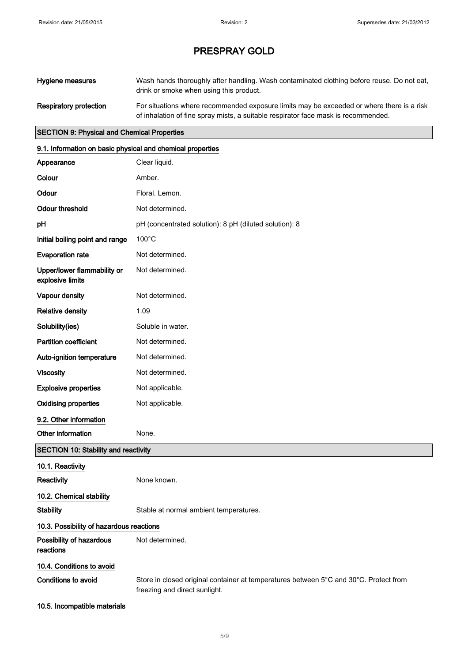| Hygiene measures       | Wash hands thoroughly after handling. Wash contaminated clothing before reuse. Do not eat,<br>drink or smoke when using this product.                                           |
|------------------------|---------------------------------------------------------------------------------------------------------------------------------------------------------------------------------|
| Respiratory protection | For situations where recommended exposure limits may be exceeded or where there is a risk<br>of inhalation of fine spray mists, a suitable respirator face mask is recommended. |

#### SECTION 9: Physical and Chemical Properties

| 9.1. Information on basic physical and chemical properties |                                                                                                                        |  |
|------------------------------------------------------------|------------------------------------------------------------------------------------------------------------------------|--|
| Appearance                                                 | Clear liquid.                                                                                                          |  |
| Colour                                                     | Amber.                                                                                                                 |  |
| Odour                                                      | Floral. Lemon.                                                                                                         |  |
| <b>Odour threshold</b>                                     | Not determined.                                                                                                        |  |
| pH                                                         | pH (concentrated solution): 8 pH (diluted solution): 8                                                                 |  |
| Initial boiling point and range                            | 100°C                                                                                                                  |  |
| <b>Evaporation rate</b>                                    | Not determined.                                                                                                        |  |
| Upper/lower flammability or<br>explosive limits            | Not determined.                                                                                                        |  |
| Vapour density                                             | Not determined.                                                                                                        |  |
| <b>Relative density</b>                                    | 1.09                                                                                                                   |  |
| Solubility(ies)                                            | Soluble in water.                                                                                                      |  |
| <b>Partition coefficient</b>                               | Not determined.                                                                                                        |  |
| Auto-ignition temperature                                  | Not determined.                                                                                                        |  |
| <b>Viscosity</b>                                           | Not determined.                                                                                                        |  |
| <b>Explosive properties</b>                                | Not applicable.                                                                                                        |  |
| <b>Oxidising properties</b>                                | Not applicable.                                                                                                        |  |
| 9.2. Other information                                     |                                                                                                                        |  |
| Other information                                          | None.                                                                                                                  |  |
| <b>SECTION 10: Stability and reactivity</b>                |                                                                                                                        |  |
| 10.1. Reactivity                                           |                                                                                                                        |  |
| Reactivity                                                 | None known.                                                                                                            |  |
| 10.2. Chemical stability                                   |                                                                                                                        |  |
| <b>Stability</b>                                           | Stable at normal ambient temperatures.                                                                                 |  |
| 10.3. Possibility of hazardous reactions                   |                                                                                                                        |  |
| Possibility of hazardous<br>reactions                      | Not determined.                                                                                                        |  |
| 10.4. Conditions to avoid                                  |                                                                                                                        |  |
| <b>Conditions to avoid</b>                                 | Store in closed original container at temperatures between 5°C and 30°C. Protect from<br>freezing and direct sunlight. |  |

10.5. Incompatible materials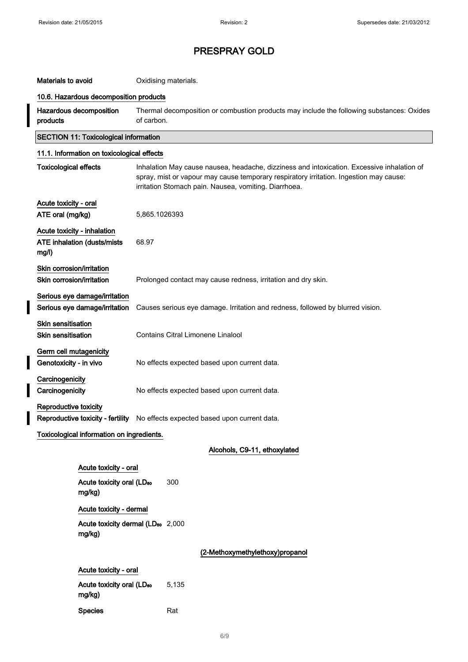I

# PRESPRAY GOLD

### Materials to avoid **Materials**.

#### 10.6. Hazardous decomposition products

| Hazardous decomposition | Thermal decomposition or combustion products may include the following substances: Oxides |
|-------------------------|-------------------------------------------------------------------------------------------|
| products                | of carbon.                                                                                |

# SECTION 11: Toxicological information 11.1. Information on toxicological effects

| <b>Toxicological effects</b>                                                |                                                                | Inhalation May cause nausea, headache, dizziness and intoxication. Excessive inhalation of<br>spray, mist or vapour may cause temporary respiratory irritation. Ingestion may cause:<br>irritation Stomach pain. Nausea, vomiting. Diarrhoea. |
|-----------------------------------------------------------------------------|----------------------------------------------------------------|-----------------------------------------------------------------------------------------------------------------------------------------------------------------------------------------------------------------------------------------------|
| Acute toxicity - oral<br>ATE oral (mg/kg)                                   |                                                                | 5,865.1026393                                                                                                                                                                                                                                 |
| Acute toxicity - inhalation<br><b>ATE inhalation (dusts/mists)</b><br>mg/l) |                                                                | 68.97                                                                                                                                                                                                                                         |
| Skin corrosion/irritation<br>Skin corrosion/irritation                      |                                                                | Prolonged contact may cause redness, irritation and dry skin.                                                                                                                                                                                 |
|                                                                             | Serious eye damage/irritation<br>Serious eye damage/irritation | Causes serious eye damage. Irritation and redness, followed by blurred vision.                                                                                                                                                                |
| <b>Skin sensitisation</b><br><b>Skin sensitisation</b>                      |                                                                | Contains Citral Limonene Linalool                                                                                                                                                                                                             |
| Germ cell mutagenicity<br>Genotoxicity - in vivo                            |                                                                | No effects expected based upon current data.                                                                                                                                                                                                  |
| Carcinogenicity<br>Carcinogenicity                                          |                                                                | No effects expected based upon current data.                                                                                                                                                                                                  |
| Reproductive toxicity                                                       | Reproductive toxicity - fertility                              | No effects expected based upon current data.                                                                                                                                                                                                  |
| Toxicological information on ingredients.                                   |                                                                |                                                                                                                                                                                                                                               |
|                                                                             |                                                                | Alcohols, C9-11, ethoxylated                                                                                                                                                                                                                  |
|                                                                             | Acute toxicity - oral                                          |                                                                                                                                                                                                                                               |
|                                                                             | Acute toxicity oral (LD <sub>50</sub><br>mg/kg)                | 300                                                                                                                                                                                                                                           |
|                                                                             | Acute toxicity - dermal                                        |                                                                                                                                                                                                                                               |
|                                                                             | mg/kg)                                                         | Acute toxicity dermal (LD <sub>50</sub> 2,000                                                                                                                                                                                                 |
|                                                                             |                                                                | (2-Methoxymethylethoxy)propanol                                                                                                                                                                                                               |
|                                                                             | Acute toxicity - oral                                          |                                                                                                                                                                                                                                               |
|                                                                             | Acute toxicity oral (LD <sub>50</sub><br>mg/kg)                | 5,135                                                                                                                                                                                                                                         |
|                                                                             | <b>Species</b>                                                 | Rat                                                                                                                                                                                                                                           |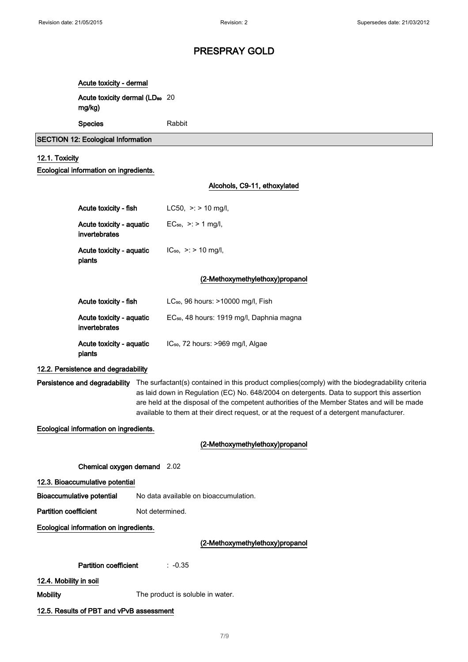# Acute toxicity - dermal

Acute toxicity dermal (LD<sub>50</sub> 20 mg/kg)

#### Species Rabbit

#### SECTION 12: Ecological Information

#### 12.1. Toxicity

#### Ecological information on ingredients.

# Alcohols, C9-11, ethoxylated Acute toxicity - fish  $LC50, >: > 10$  mg/l, Acute toxicity - aquatic invertebrates EC<sub>50</sub>,  $> : 21$  mg/l, Acute toxicity - aquatic plants  $IC_{50}$ ,  $>$ : > 10 mg/l, (2-Methoxymethylethoxy)propanol Acute toxicity - fish LC<sub>50</sub>, 96 hours: >10000 mg/l, Fish Acute toxicity - aquatic invertebrates EC<sub>50</sub>, 48 hours: 1919 mg/l, Daphnia magna Acute toxicity - aquatic plants IC<sub>50</sub>, 72 hours: >969 mg/l, Algae 12.2. Persistence and degradability Persistence and degradability The surfactant(s) contained in this product complies(comply) with the biodegradability criteria as laid down in Regulation (EC) No. 648/2004 on detergents. Data to support this assertion are held at the disposal of the competent authorities of the Member States and will be made available to them at their direct request, or at the request of a detergent manufacturer. Ecological information on ingredients. (2-Methoxymethylethoxy)propanol Chemical oxygen demand 2.02 12.3. Bioaccumulative potential Bioaccumulative potential No data available on bioaccumulation. Partition coefficient Not determined. Ecological information on ingredients. (2-Methoxymethylethoxy)propanol Partition coefficient : -0.35 12.4. Mobility in soil Mobility **Mobility** The product is soluble in water. 12.5. Results of PBT and vPvB assessment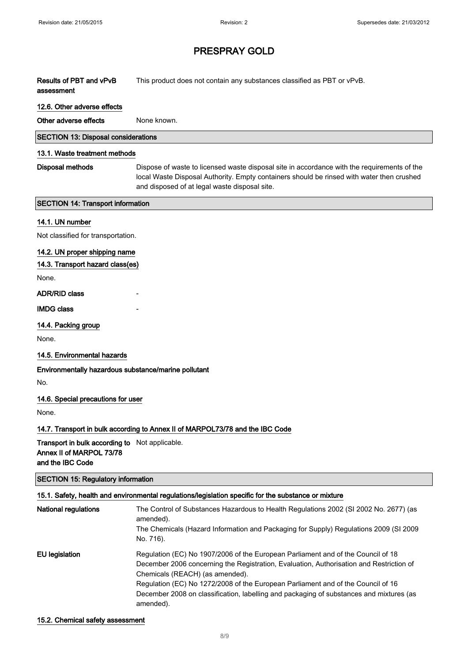$\Bigg]$ 

 $\Bigg]$ 

 $\Bigg]$ 

## PRESPRAY GOLD

| Results of PBT and vPvB<br>assessment                                                                 | This product does not contain any substances classified as PBT or vPvB.                                                                                                                                                                   |
|-------------------------------------------------------------------------------------------------------|-------------------------------------------------------------------------------------------------------------------------------------------------------------------------------------------------------------------------------------------|
| 12.6. Other adverse effects                                                                           |                                                                                                                                                                                                                                           |
| Other adverse effects                                                                                 | None known.                                                                                                                                                                                                                               |
| <b>SECTION 13: Disposal considerations</b>                                                            |                                                                                                                                                                                                                                           |
| 13.1. Waste treatment methods                                                                         |                                                                                                                                                                                                                                           |
| <b>Disposal methods</b>                                                                               | Dispose of waste to licensed waste disposal site in accordance with the requirements of the<br>local Waste Disposal Authority. Empty containers should be rinsed with water then crushed<br>and disposed of at legal waste disposal site. |
| <b>SECTION 14: Transport information</b>                                                              |                                                                                                                                                                                                                                           |
| 14.1. UN number                                                                                       |                                                                                                                                                                                                                                           |
| Not classified for transportation.                                                                    |                                                                                                                                                                                                                                           |
| 14.2. UN proper shipping name                                                                         |                                                                                                                                                                                                                                           |
| 14.3. Transport hazard class(es)                                                                      |                                                                                                                                                                                                                                           |
| None.                                                                                                 |                                                                                                                                                                                                                                           |
| <b>ADR/RID class</b>                                                                                  |                                                                                                                                                                                                                                           |
| <b>IMDG class</b>                                                                                     |                                                                                                                                                                                                                                           |
| 14.4. Packing group                                                                                   |                                                                                                                                                                                                                                           |
| None.                                                                                                 |                                                                                                                                                                                                                                           |
| 14.5. Environmental hazards                                                                           |                                                                                                                                                                                                                                           |
| Environmentally hazardous substance/marine pollutant                                                  |                                                                                                                                                                                                                                           |
| No.                                                                                                   |                                                                                                                                                                                                                                           |
| 14.6. Special precautions for user                                                                    |                                                                                                                                                                                                                                           |
| None.                                                                                                 |                                                                                                                                                                                                                                           |
|                                                                                                       | 14.7. Transport in bulk according to Annex II of MARPOL73/78 and the IBC Code                                                                                                                                                             |
| <b>Transport in bulk according to</b> Not applicable.<br>Annex II of MARPOL 73/78<br>and the IBC Code |                                                                                                                                                                                                                                           |
| <b>SECTION 15: Regulatory information</b>                                                             |                                                                                                                                                                                                                                           |
|                                                                                                       | 15.1. Safety, health and environmental regulations/legislation specific for the substance or mixture                                                                                                                                      |
| National regulations                                                                                  | The Control of Substances Hazardous to Health Regulations 2002 (SI 2002 No. 2677) (as<br>amended).<br>The Chemicals (Hazard Information and Packaging for Supply) Regulations 2009 (SI 2009<br>No. 716).                                  |

EU legislation Regulation (EC) No 1907/2006 of the European Parliament and of the Council of 18 December 2006 concerning the Registration, Evaluation, Authorisation and Restriction of Chemicals (REACH) (as amended). Regulation (EC) No 1272/2008 of the European Parliament and of the Council of 16 December 2008 on classification, labelling and packaging of substances and mixtures (as amended).

#### 15.2. Chemical safety assessment